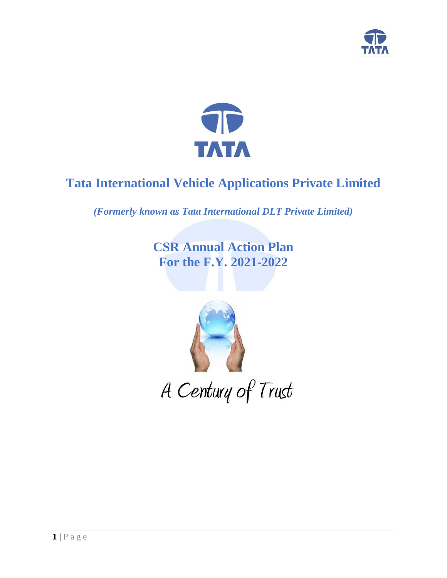



# **Tata International Vehicle Applications Private Limited**

*(Formerly known as Tata International DLT Private Limited)*

**CSR Annual Action Plan For the F.Y. 2021-2022**

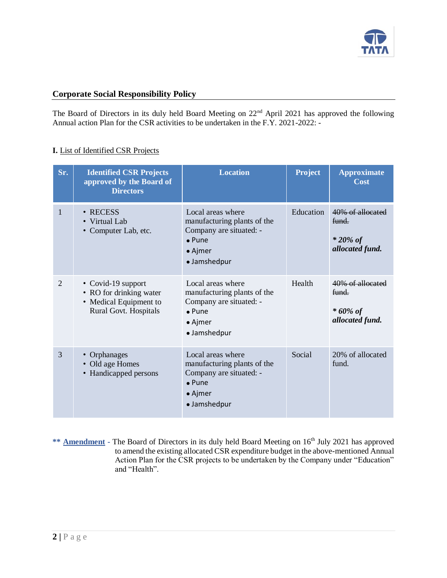

### **Corporate Social Responsibility Policy**

The Board of Directors in its duly held Board Meeting on  $22<sup>nd</sup>$  April 2021 has approved the following Annual action Plan for the CSR activities to be undertaken in the F.Y. 2021-2022: -

### **I.** List of Identified CSR Projects

| Sr.                   | <b>Identified CSR Projects</b><br>approved by the Board of<br><b>Directors</b>                   | <b>Location</b>                                                                                                                  | <b>Project</b> | <b>Approximate</b><br>Cost                                  |
|-----------------------|--------------------------------------------------------------------------------------------------|----------------------------------------------------------------------------------------------------------------------------------|----------------|-------------------------------------------------------------|
| $\mathbf{1}$          | • RECESS<br>• Virtual Lab<br>• Computer Lab, etc.                                                | Local areas where<br>manufacturing plants of the<br>Company are situated: -<br>$\bullet$ Pune<br>$\bullet$ Ajmer<br>· Jamshedpur | Education      | 40% of allocated<br>fund.<br>$*$ 20% of<br>allocated fund.  |
| $\mathcal{D}_{\cdot}$ | • Covid-19 support<br>• RO for drinking water<br>• Medical Equipment to<br>Rural Govt. Hospitals | Local areas where<br>manufacturing plants of the<br>Company are situated: -<br>$\bullet$ Pune<br>$\bullet$ Ajmer<br>· Jamshedpur | Health         | 40% of allocated<br>fund.<br>* $60\%$ of<br>allocated fund. |
| 3                     | • Orphanages<br>Old age Homes<br>• Handicapped persons                                           | Local areas where<br>manufacturing plants of the<br>Company are situated: -<br>$\bullet$ Pune<br>$\bullet$ Ajmer<br>· Jamshedpur | Social         | 20% of allocated<br>fund.                                   |

\*\* **Amendment -** The Board of Directors in its duly held Board Meeting on 16<sup>th</sup> July 2021 has approved to amend the existing allocated CSR expenditure budget in the above-mentioned Annual Action Plan for the CSR projects to be undertaken by the Company under "Education" and "Health".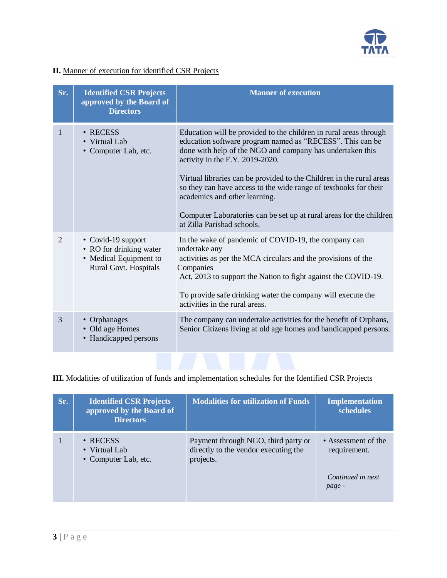

## **II.** Manner of execution for identified CSR Projects

| Sr. | <b>Identified CSR Projects</b><br>approved by the Board of<br><b>Directors</b>                   | <b>Manner of execution</b>                                                                                                                                                                                                                                                                                                                                                                                                                                                                                       |
|-----|--------------------------------------------------------------------------------------------------|------------------------------------------------------------------------------------------------------------------------------------------------------------------------------------------------------------------------------------------------------------------------------------------------------------------------------------------------------------------------------------------------------------------------------------------------------------------------------------------------------------------|
| 1   | $\cdot$ RECESS<br>• Virtual Lab<br>• Computer Lab, etc.                                          | Education will be provided to the children in rural areas through<br>education software program named as "RECESS". This can be<br>done with help of the NGO and company has undertaken this<br>activity in the F.Y. 2019-2020.<br>Virtual libraries can be provided to the Children in the rural areas<br>so they can have access to the wide range of textbooks for their<br>academics and other learning.<br>Computer Laboratories can be set up at rural areas for the children<br>at Zilla Parishad schools. |
| 2   | • Covid-19 support<br>• RO for drinking water<br>• Medical Equipment to<br>Rural Govt. Hospitals | In the wake of pandemic of COVID-19, the company can<br>undertake any<br>activities as per the MCA circulars and the provisions of the<br>Companies<br>Act, 2013 to support the Nation to fight against the COVID-19.<br>To provide safe drinking water the company will execute the<br>activities in the rural areas.                                                                                                                                                                                           |
| 3   | • Orphanages<br>• Old age Homes<br>• Handicapped persons                                         | The company can undertake activities for the benefit of Orphans,<br>Senior Citizens living at old age homes and handicapped persons.                                                                                                                                                                                                                                                                                                                                                                             |

# **III.** Modalities of utilization of funds and implementation schedules for the Identified CSR Projects

| Sr. | <b>Identified CSR Projects</b><br>approved by the Board of<br><b>Directors</b> | <b>Modalities for utilization of Funds</b>                                               | <b>Implementation</b><br>schedules                                 |
|-----|--------------------------------------------------------------------------------|------------------------------------------------------------------------------------------|--------------------------------------------------------------------|
|     | $\cdot$ RECESS<br>• Virtual Lab<br>• Computer Lab, etc.                        | Payment through NGO, third party or<br>directly to the vendor executing the<br>projects. | • Assessment of the<br>requirement.<br>Continued in next<br>page - |